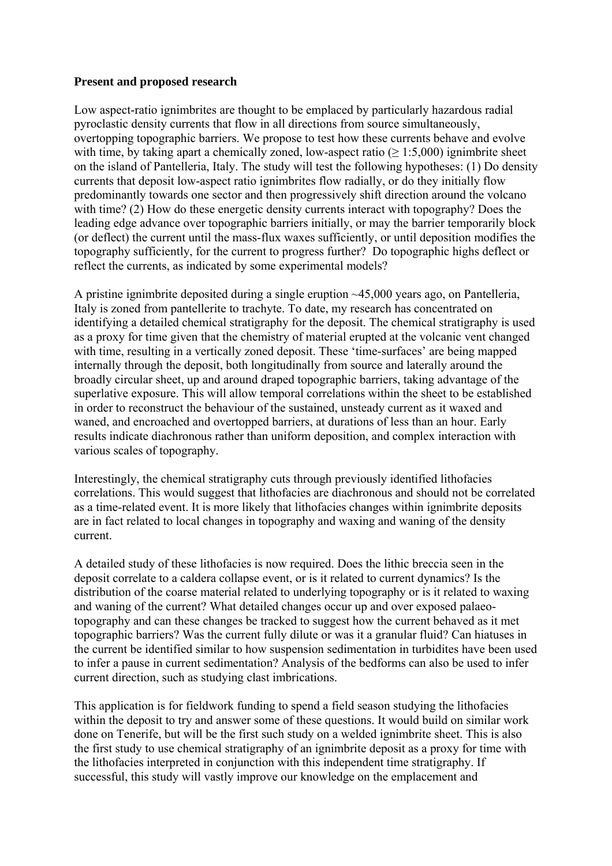## **Present and proposed research**

Low aspect-ratio ignimbrites are thought to be emplaced by particularly hazardous radial pyroclastic density currents that flow in all directions from source simultaneously, overtopping topographic barriers. We propose to test how these currents behave and evolve with time, by taking apart a chemically zoned, low-aspect ratio ( $> 1:5,000$ ) ignimbrite sheet on the island of Pantelleria, Italy. The study will test the following hypotheses: (1) Do density currents that deposit low-aspect ratio ignimbrites flow radially, or do they initially flow predominantly towards one sector and then progressively shift direction around the volcano with time? (2) How do these energetic density currents interact with topography? Does the leading edge advance over topographic barriers initially, or may the barrier temporarily block (or deflect) the current until the mass-flux waxes sufficiently, or until deposition modifies the topography sufficiently, for the current to progress further? Do topographic highs deflect or reflect the currents, as indicated by some experimental models?

A pristine ignimbrite deposited during a single eruption ~45,000 years ago, on Pantelleria, Italy is zoned from pantellerite to trachyte. To date, my research has concentrated on identifying a detailed chemical stratigraphy for the deposit. The chemical stratigraphy is used as a proxy for time given that the chemistry of material erupted at the volcanic vent changed with time, resulting in a vertically zoned deposit. These 'time-surfaces' are being mapped internally through the deposit, both longitudinally from source and laterally around the broadly circular sheet, up and around draped topographic barriers, taking advantage of the superlative exposure. This will allow temporal correlations within the sheet to be established in order to reconstruct the behaviour of the sustained, unsteady current as it waxed and waned, and encroached and overtopped barriers, at durations of less than an hour. Early results indicate diachronous rather than uniform deposition, and complex interaction with various scales of topography.

Interestingly, the chemical stratigraphy cuts through previously identified lithofacies correlations. This would suggest that lithofacies are diachronous and should not be correlated as a time-related event. It is more likely that lithofacies changes within ignimbrite deposits are in fact related to local changes in topography and waxing and waning of the density current.

A detailed study of these lithofacies is now required. Does the lithic breccia seen in the deposit correlate to a caldera collapse event, or is it related to current dynamics? Is the distribution of the coarse material related to underlying topography or is it related to waxing and waning of the current? What detailed changes occur up and over exposed palaeotopography and can these changes be tracked to suggest how the current behaved as it met topographic barriers? Was the current fully dilute or was it a granular fluid? Can hiatuses in the current be identified similar to how suspension sedimentation in turbidites have been used to infer a pause in current sedimentation? Analysis of the bedforms can also be used to infer current direction, such as studying clast imbrications.

This application is for fieldwork funding to spend a field season studying the lithofacies within the deposit to try and answer some of these questions. It would build on similar work done on Tenerife, but will be the first such study on a welded ignimbrite sheet. This is also the first study to use chemical stratigraphy of an ignimbrite deposit as a proxy for time with the lithofacies interpreted in conjunction with this independent time stratigraphy. If successful, this study will vastly improve our knowledge on the emplacement and